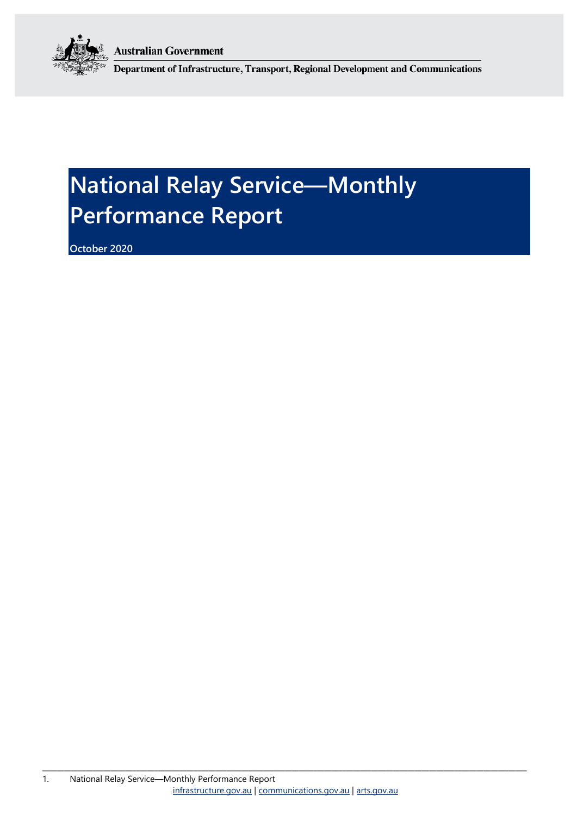**Australian Government** 



Department of Infrastructure, Transport, Regional Development and Communications

# **National Relay Service—Monthly Performance Report**

**October 2020**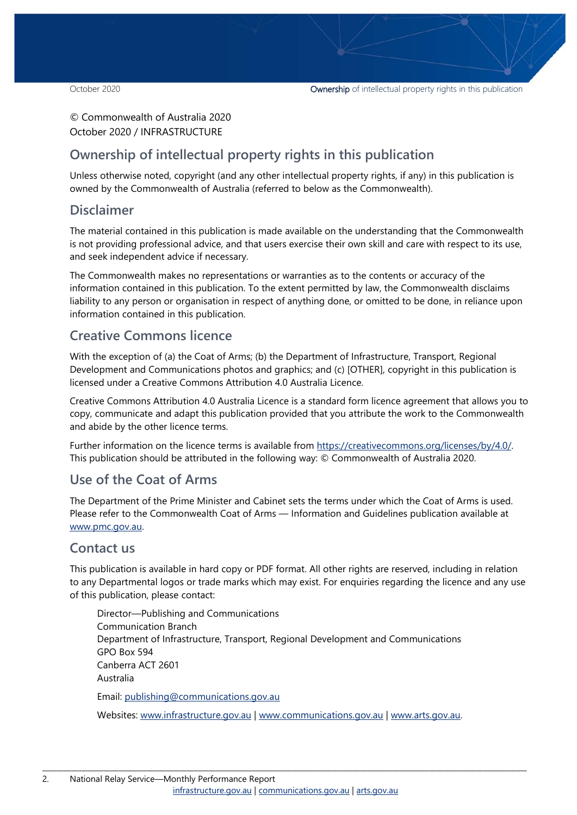#### © Commonwealth of Australia 2020 October 2020 / INFRASTRUCTURE

#### **Ownership of intellectual property rights in this publication**

Unless otherwise noted, copyright (and any other intellectual property rights, if any) in this publication is owned by the Commonwealth of Australia (referred to below as the Commonwealth).

#### **Disclaimer**

The material contained in this publication is made available on the understanding that the Commonwealth is not providing professional advice, and that users exercise their own skill and care with respect to its use, and seek independent advice if necessary.

The Commonwealth makes no representations or warranties as to the contents or accuracy of the information contained in this publication. To the extent permitted by law, the Commonwealth disclaims liability to any person or organisation in respect of anything done, or omitted to be done, in reliance upon information contained in this publication.

#### **Creative Commons licence**

With the exception of (a) the Coat of Arms; (b) the Department of Infrastructure, Transport, Regional Development and Communications photos and graphics; and (c) [OTHER], copyright in this publication is licensed under a Creative Commons Attribution 4.0 Australia Licence.

Creative Commons Attribution 4.0 Australia Licence is a standard form licence agreement that allows you to copy, communicate and adapt this publication provided that you attribute the work to the Commonwealth and abide by the other licence terms.

Further information on the licence terms is available from [https://creativecommons.org/licenses/by/4.0/.](https://creativecommons.org/licenses/by/4.0/) This publication should be attributed in the following way: © Commonwealth of Australia 2020.

#### **Use of the Coat of Arms**

The Department of the Prime Minister and Cabinet sets the terms under which the Coat of Arms is used. Please refer to the Commonwealth Coat of Arms — Information and Guidelines publication available at [www.pmc.gov.au.](http://www.pmc.gov.au/) 

#### **Contact us**

This publication is available in hard copy or PDF format. All other rights are reserved, including in relation to any Departmental logos or trade marks which may exist. For enquiries regarding the licence and any use of this publication, please contact:

Director—Publishing and Communications Communication Branch Department of Infrastructure, Transport, Regional Development and Communications GPO Box 594 Canberra ACT 2601 Australia Email: [publishing@communications.gov.au](mailto:publishing@communications.gov.au)

Websites: [www.infrastructure.gov.au](http://www.infrastructure.gov.au/) | [www.communications.gov.au](http://www.communications.gov.au/) | [www.arts.gov.au.](http://www.arts.gov.au/)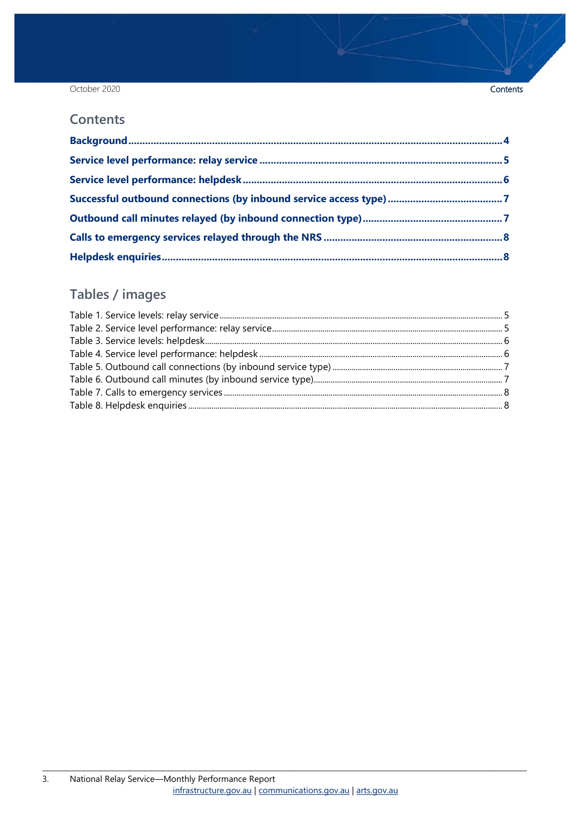#### October 2020

#### **Contents**

### Tables / images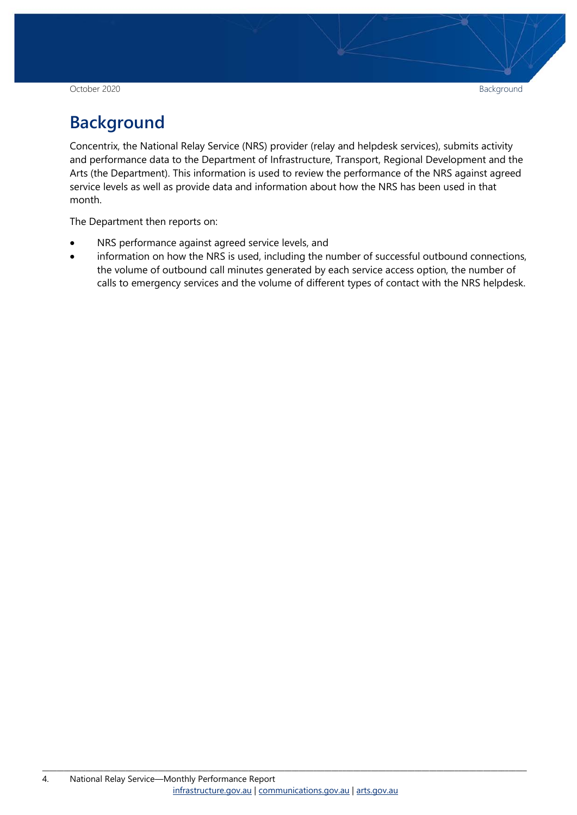October 2020 Background

## <span id="page-3-0"></span>**Background**

Concentrix, the National Relay Service (NRS) provider (relay and helpdesk services), submits activity and performance data to the Department of Infrastructure, Transport, Regional Development and the Arts (the Department). This information is used to review the performance of the NRS against agreed service levels as well as provide data and information about how the NRS has been used in that month.

The Department then reports on:

- NRS performance against agreed service levels, and
- information on how the NRS is used, including the number of successful outbound connections, the volume of outbound call minutes generated by each service access option, the number of calls to emergency services and the volume of different types of contact with the NRS helpdesk.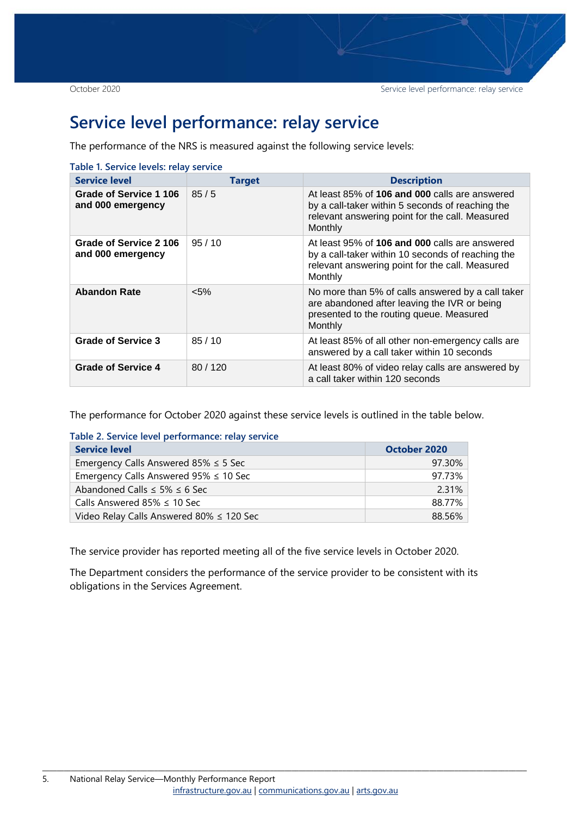### <span id="page-4-0"></span>**Service level performance: relay service**

The performance of the NRS is measured against the following service levels:

<span id="page-4-1"></span>

| Table 1. Service levels: relay service      |               |                                                                                                                                                                   |  |  |  |  |
|---------------------------------------------|---------------|-------------------------------------------------------------------------------------------------------------------------------------------------------------------|--|--|--|--|
| <b>Service level</b>                        | <b>Target</b> | <b>Description</b>                                                                                                                                                |  |  |  |  |
| Grade of Service 1 106<br>and 000 emergency | 85/5          | At least 85% of 106 and 000 calls are answered<br>by a call-taker within 5 seconds of reaching the<br>relevant answering point for the call. Measured<br>Monthly  |  |  |  |  |
| Grade of Service 2 106<br>and 000 emergency | 95/10         | At least 95% of 106 and 000 calls are answered<br>by a call-taker within 10 seconds of reaching the<br>relevant answering point for the call. Measured<br>Monthly |  |  |  |  |
| <b>Abandon Rate</b>                         | $< 5\%$       | No more than 5% of calls answered by a call taker<br>are abandoned after leaving the IVR or being<br>presented to the routing queue. Measured<br>Monthly          |  |  |  |  |
| <b>Grade of Service 3</b>                   | 85/10         | At least 85% of all other non-emergency calls are<br>answered by a call taker within 10 seconds                                                                   |  |  |  |  |
| <b>Grade of Service 4</b>                   | 80/120        | At least 80% of video relay calls are answered by<br>a call taker within 120 seconds                                                                              |  |  |  |  |

The performance for October 2020 against these service levels is outlined in the table below.

<span id="page-4-2"></span>

|  |  |  |  |  |  |  | Table 2. Service level performance: relay service |  |
|--|--|--|--|--|--|--|---------------------------------------------------|--|
|  |  |  |  |  |  |  |                                                   |  |

| <b>Service level</b>                        | October 2020 |
|---------------------------------------------|--------------|
| Emergency Calls Answered 85% $\leq$ 5 Sec   | 97.30%       |
| Emergency Calls Answered $95\% \leq 10$ Sec | 97.73%       |
| Abandoned Calls $\leq$ 5% $\leq$ 6 Sec      | 2.31%        |
| Calls Answered 85% $\leq$ 10 Sec            | 88.77%       |
| Video Relay Calls Answered 80% ≤ 120 Sec    | 88.56%       |

The service provider has reported meeting all of the five service levels in October 2020.

The Department considers the performance of the service provider to be consistent with its obligations in the Services Agreement.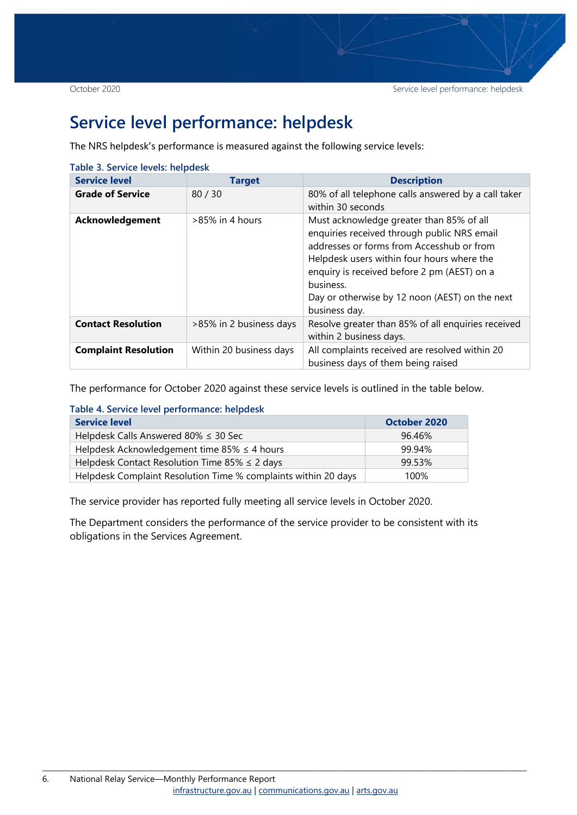### <span id="page-5-0"></span>**Service level performance: helpdesk**

The NRS helpdesk's performance is measured against the following service levels:

<span id="page-5-1"></span>

| Table 3. Service levels: helpdesk |                         |                                                                                                                                                                                                                                                                                                                   |  |  |  |  |  |
|-----------------------------------|-------------------------|-------------------------------------------------------------------------------------------------------------------------------------------------------------------------------------------------------------------------------------------------------------------------------------------------------------------|--|--|--|--|--|
| <b>Service level</b>              | <b>Target</b>           | <b>Description</b>                                                                                                                                                                                                                                                                                                |  |  |  |  |  |
| <b>Grade of Service</b>           | 80/30                   | 80% of all telephone calls answered by a call taker<br>within 30 seconds                                                                                                                                                                                                                                          |  |  |  |  |  |
| Acknowledgement                   | $>85\%$ in 4 hours      | Must acknowledge greater than 85% of all<br>enquiries received through public NRS email<br>addresses or forms from Accesshub or from<br>Helpdesk users within four hours where the<br>enquiry is received before 2 pm (AEST) on a<br>business.<br>Day or otherwise by 12 noon (AEST) on the next<br>business day. |  |  |  |  |  |
| <b>Contact Resolution</b>         | >85% in 2 business days | Resolve greater than 85% of all enquiries received<br>within 2 business days.                                                                                                                                                                                                                                     |  |  |  |  |  |
| <b>Complaint Resolution</b>       | Within 20 business days | All complaints received are resolved within 20<br>business days of them being raised                                                                                                                                                                                                                              |  |  |  |  |  |

The performance for October 2020 against these service levels is outlined in the table below.

<span id="page-5-2"></span>

| <b>Service level</b>                                           | October 2020 |
|----------------------------------------------------------------|--------------|
| Helpdesk Calls Answered 80% $\leq$ 30 Sec                      | 96.46%       |
| Helpdesk Acknowledgement time 85% $\leq$ 4 hours               | 99.94%       |
| Helpdesk Contact Resolution Time 85% $\leq$ 2 days             | 99.53%       |
| Helpdesk Complaint Resolution Time % complaints within 20 days | 100%         |

The service provider has reported fully meeting all service levels in October 2020.

The Department considers the performance of the service provider to be consistent with its obligations in the Services Agreement.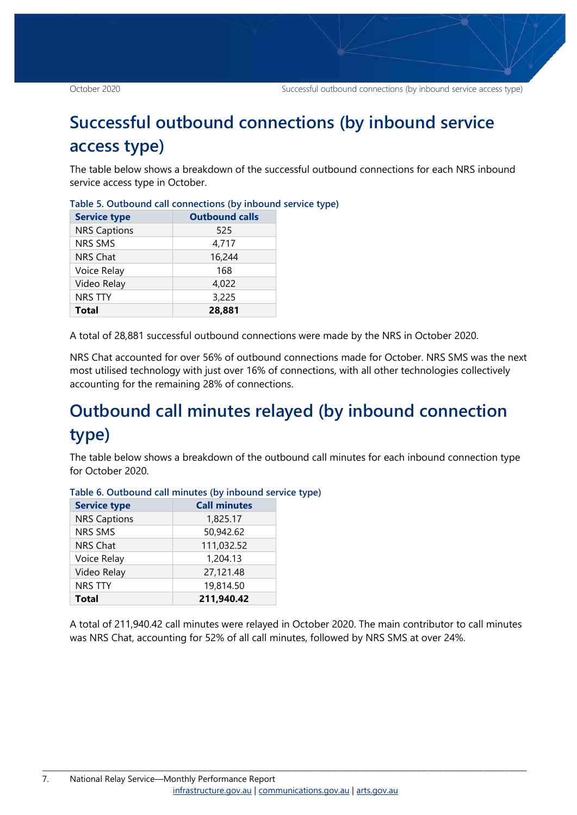### <span id="page-6-0"></span>**Successful outbound connections (by inbound service access type)**

The table below shows a breakdown of the successful outbound connections for each NRS inbound service access type in October.

| <b>Service type</b> | <b>Outbound calls</b> |  |  |  |  |  |
|---------------------|-----------------------|--|--|--|--|--|
| <b>NRS Captions</b> | 525                   |  |  |  |  |  |
| <b>NRS SMS</b>      | 4,717                 |  |  |  |  |  |
| <b>NRS Chat</b>     | 16,244                |  |  |  |  |  |
| Voice Relay         | 168                   |  |  |  |  |  |
| Video Relay         | 4,022                 |  |  |  |  |  |
| <b>NRS TTY</b>      | 3,225                 |  |  |  |  |  |
| <b>Total</b>        | 28,881                |  |  |  |  |  |

<span id="page-6-2"></span>

|  | Table 5. Outbound call connections (by inbound service type) |  |  |
|--|--------------------------------------------------------------|--|--|
|  |                                                              |  |  |

A total of 28,881 successful outbound connections were made by the NRS in October 2020.

NRS Chat accounted for over 56% of outbound connections made for October. NRS SMS was the next most utilised technology with just over 16% of connections, with all other technologies collectively accounting for the remaining 28% of connections.

## <span id="page-6-1"></span>**Outbound call minutes relayed (by inbound connection type)**

The table below shows a breakdown of the outbound call minutes for each inbound connection type for October 2020.

| <b>Service type</b> | <b>Call minutes</b> |
|---------------------|---------------------|
| <b>NRS Captions</b> | 1,825.17            |
| <b>NRS SMS</b>      | 50,942.62           |
| <b>NRS Chat</b>     | 111,032.52          |
| Voice Relay         | 1,204.13            |
| Video Relay         | 27,121.48           |
| <b>NRS TTY</b>      | 19,814.50           |
| <b>Total</b>        | 211,940.42          |

<span id="page-6-3"></span>**Table 6. Outbound call minutes (by inbound service type)**

A total of 211,940.42 call minutes were relayed in October 2020. The main contributor to call minutes was NRS Chat, accounting for 52% of all call minutes, followed by NRS SMS at over 24%.